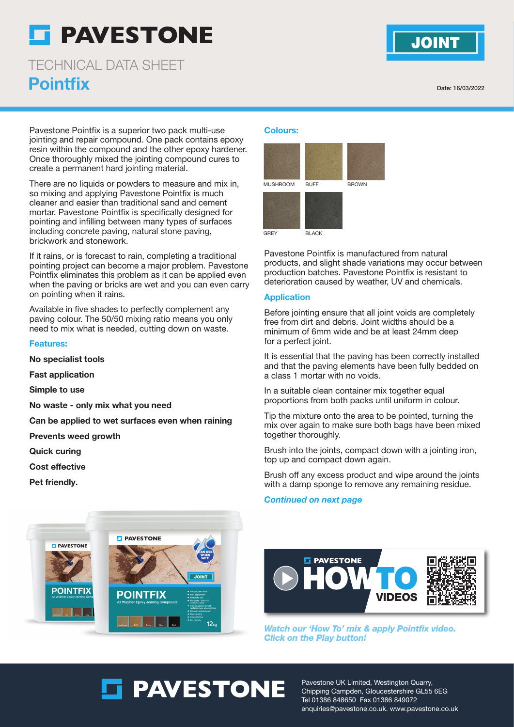# **F PAVESTONE**

**Pointfix** TECHNICAL DATA SHEET

Date: 16/03/2022

**JOINT** 

Pavestone Pointfix is a superior two pack multi-use jointing and repair compound. One pack contains epoxy resin within the compound and the other epoxy hardener. Once thoroughly mixed the jointing compound cures to create a permanent hard jointing material.

There are no liquids or powders to measure and mix in, so mixing and applying Pavestone Pointfix is much cleaner and easier than traditional sand and cement mortar. Pavestone Pointfix is specifically designed for pointing and infilling between many types of surfaces including concrete paving, natural stone paving, brickwork and stonework.

If it rains, or is forecast to rain, completing a traditional pointing project can become a major problem. Pavestone Pointfix eliminates this problem as it can be applied even when the paving or bricks are wet and you can even carry on pointing when it rains.

Available in five shades to perfectly complement any paving colour. The 50/50 mixing ratio means you only need to mix what is needed, cutting down on waste.

#### Features:

No specialist tools

Fast application

Simple to use

No waste - only mix what you need

Can be applied to wet surfaces even when raining

Prevents weed growth

Quick curing

Cost effective

Pet friendly.

### Colours:



Pavestone Pointfix is manufactured from natural products, and slight shade variations may occur between production batches. Pavestone Pointfix is resistant to deterioration caused by weather, UV and chemicals.

#### Application

Before jointing ensure that all joint voids are completely free from dirt and debris. Joint widths should be a minimum of 6mm wide and be at least 24mm deep for a perfect joint.

It is essential that the paving has been correctly installed and that the paving elements have been fully bedded on a class 1 mortar with no voids.

In a suitable clean container mix together equal proportions from both packs until uniform in colour.

Tip the mixture onto the area to be pointed, turning the mix over again to make sure both bags have been mixed together thoroughly.

Brush into the joints, compact down with a jointing iron, top up and compact down again.

Brush off any excess product and wipe around the joints with a damp sponge to remove any remaining residue.

#### Continued on next page





**Watch our 'How To' mix & apply Pointfix video. Click on the Play button!**

**ET PAVESTONE** 

Pavestone UK Limited, Westington Quarry, Chipping Campden, Gloucestershire GL55 6EG Tel 01386 848650 Fax 01386 849072 enquiries@pavestone.co.uk. www.pavestone.co.uk